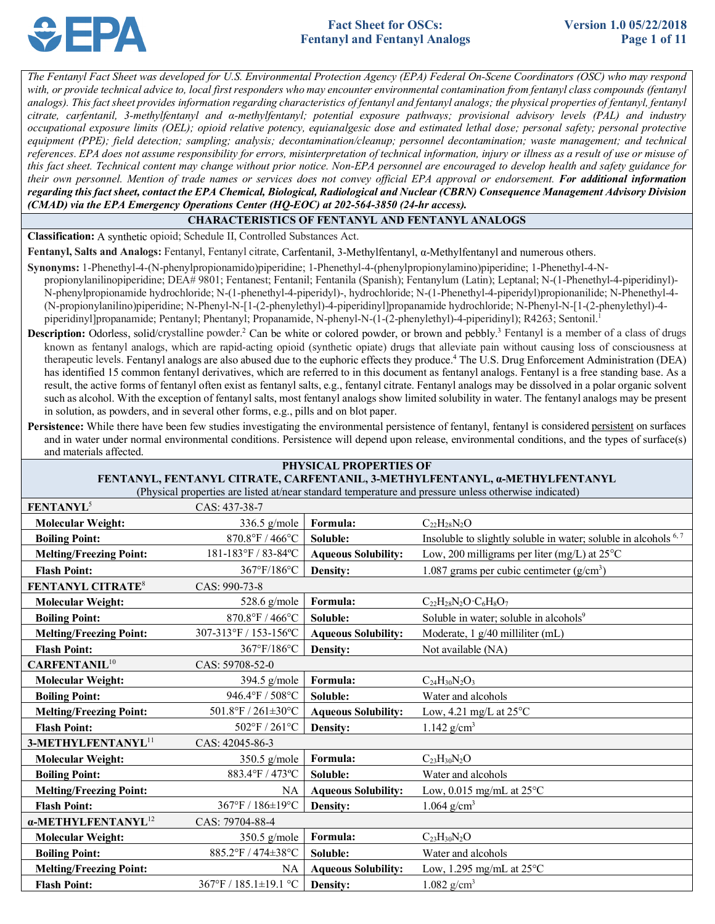

with, or provide technical advice to, local first responders who may encounter environmental contamination from fentanyl class compounds (fentanyl analogs). This fact sheet provides information regarding characteristics of fentanyl and fentanyl analogs; the physical properties of fentanyl, fentanyl  *citrate, carfentanil, 3-methylfentanyl and α-methylfentanyl; potential exposure pathways; provisional advisory levels (PAL) and industry occupational exposure limits (OEL); opioid relative potency, equianalgesic dose and estimated lethal dose; personal safety; personal protective*  equipment (PPE); field detection; sampling; analysis; decontamination/cleanup; personnel decontamination; waste management; and technical  *references. EPA does not assume responsibility for errors, misinterpretation of technical information, injury or illness as a result of use or misuse of this fact sheet. Technical content may change without prior notice. Non-EPA personnel are encouraged to develop health and safety guidance for their own personnel. Mention of trade names or services does not convey official EPA approval or endorsement. For additional information regarding this fact sheet, contact the EPA Chemical, Biological, Radiological and Nuclear (CBRN) Consequence Management Advisory Division (CMAD) via the EPA Emergency Operations Center (HQ-EOC) at 202-564-3850 (24-hr access). The Fentanyl Fact Sheet was developed for U.S. Environmental Protection Agency (EPA) Federal On-Scene Coordinators (OSC) who may respond* 

# **CHARACTERISTICS OF FENTANYL AND FENTANYL ANALOGS**

**Classification:** A synthetic opioid; Schedule II, Controlled Substances Act.

 **Fentanyl, Salts and Analogs:** Fentanyl, Fentanyl citrate, Carfentanil, 3-Methylfentanyl, α-Methylfentanyl and numerous others.

- propionylanilinopiperidine; DEA# 9801; Fentanest; Fentanil; Fentanila (Spanish); Fentanylum (Latin); Leptanal; N-(1-Phenethyl-4-piperidinyl) piperidinyl]propanamide; Pentanyl; Phentanyl; Propanamide, N-phenyl-N-(1-(2-phenylethyl)-4-piperidinyl); R4263; Sentonil.<sup>1</sup> **Synonyms:** 1-Phenethyl-4-(N-phenylpropionamido)piperidine; 1-Phenethyl-4-(phenylpropionylamino)piperidine; 1-Phenethyl-4-N-N-phenylpropionamide hydrochloride; N-(1-phenethyl-4-piperidyl)-, hydrochloride; N-(1-Phenethyl-4-piperidyl)propionanilide; N-Phenethyl-4- (N-propionylanilino)piperidine; N-Phenyl-N-[1-(2-phenylethyl)-4-piperidinyl]propanamide hydrochloride; N-Phenyl-N-[1-(2-phenylethyl)-4-
- Description: Odorless, solid/crystalline powder.<sup>2</sup> Can be white or colored powder, or brown and pebbly.<sup>3</sup> Fentanyl is a member of a class of drugs known as fentanyl analogs, which are rapid-acting opioid (synthetic opiate) drugs that alleviate pain without causing loss of consciousness at therapeutic levels. Fentanyl analogs are also abused due to the euphoric effects they produce.<sup>4</sup> The U.S. Drug Enforcement Administration (DEA) result, the active forms of fentanyl often exist as fentanyl salts, e.g., fentanyl citrate. Fentanyl analogs may be dissolved in a polar organic solvent such as alcohol. With the exception of fentanyl salts, most fentanyl analogs show limited solubility in water. The fentanyl analogs may be present in solution, as powders, and in several other forms, e.g., pills and on blot paper. has identified 15 common fentanyl derivatives, which are referred to in this document as fentanyl analogs. Fentanyl is a free standing base. As a
- Persistence: While there have been few studies investigating the environmental persistence of fentanyl, fentanyl is considered persistent on surfaces and in water under normal environmental conditions. Persistence will depend upon release, environmental conditions, and the types of surface(s) and materials affected.

| <b>PHYSICAL PROPERTIES OF</b>                                                                                                                                                        |                       |                            |                                                                            |  |  |  |
|--------------------------------------------------------------------------------------------------------------------------------------------------------------------------------------|-----------------------|----------------------------|----------------------------------------------------------------------------|--|--|--|
| FENTANYL, FENTANYL CITRATE, CARFENTANIL, 3-METHYLFENTANYL, a-METHYLFENTANYL<br>(Physical properties are listed at/near standard temperature and pressure unless otherwise indicated) |                       |                            |                                                                            |  |  |  |
| FENTANYL <sup>5</sup>                                                                                                                                                                | CAS: 437-38-7         |                            |                                                                            |  |  |  |
| <b>Molecular Weight:</b>                                                                                                                                                             | 336.5 g/mole          | Formula:                   | $C_{22}H_{28}N_2O$                                                         |  |  |  |
| <b>Boiling Point:</b>                                                                                                                                                                | 870.8°F / 466°C       | Soluble:                   | Insoluble to slightly soluble in water; soluble in alcohols <sup>6,7</sup> |  |  |  |
| <b>Melting/Freezing Point:</b>                                                                                                                                                       | 181-183°F / 83-84°C   | <b>Aqueous Solubility:</b> | Low, 200 milligrams per liter (mg/L) at $25^{\circ}$ C                     |  |  |  |
| <b>Flash Point:</b>                                                                                                                                                                  | 367°F/186°C           | Density:                   | 1.087 grams per cubic centimeter $(g/cm3)$                                 |  |  |  |
| <b>FENTANYL CITRATE<sup>8</sup></b>                                                                                                                                                  | CAS: 990-73-8         |                            |                                                                            |  |  |  |
| <b>Molecular Weight:</b>                                                                                                                                                             | 528.6 g/mole          | Formula:                   | $C_{22}H_{28}N_2O\cdot C_6H_8O_7$                                          |  |  |  |
| <b>Boiling Point:</b>                                                                                                                                                                | 870.8°F / 466°C       | Soluble:                   | Soluble in water; soluble in alcohols <sup>9</sup>                         |  |  |  |
| <b>Melting/Freezing Point:</b>                                                                                                                                                       | 307-313°F / 153-156°C | <b>Aqueous Solubility:</b> | Moderate, 1 g/40 milliliter (mL)                                           |  |  |  |
| <b>Flash Point:</b>                                                                                                                                                                  | 367°F/186°C           | Density:                   | Not available (NA)                                                         |  |  |  |
| <b>CARFENTANIL<sup>10</sup></b>                                                                                                                                                      | CAS: 59708-52-0       |                            |                                                                            |  |  |  |
| <b>Molecular Weight:</b>                                                                                                                                                             | $394.5$ g/mole        | Formula:                   | $C_{24}H_{30}N_2O_3$                                                       |  |  |  |
| <b>Boiling Point:</b>                                                                                                                                                                | 946.4°F / 508°C       | Soluble:                   | Water and alcohols                                                         |  |  |  |
| <b>Melting/Freezing Point:</b>                                                                                                                                                       | 501.8°F / 261±30°C    | <b>Aqueous Solubility:</b> | Low, 4.21 mg/L at $25^{\circ}$ C                                           |  |  |  |
| <b>Flash Point:</b>                                                                                                                                                                  | 502°F / 261°C         | Density:                   | 1.142 $g/cm^3$                                                             |  |  |  |
| 3-METHYLFENTANYL <sup>11</sup>                                                                                                                                                       | CAS: 42045-86-3       |                            |                                                                            |  |  |  |
| <b>Molecular Weight:</b>                                                                                                                                                             | 350.5 g/mole          | Formula:                   | $C_{23}H_{30}N_2O$                                                         |  |  |  |
| <b>Boiling Point:</b>                                                                                                                                                                | 883.4°F / 473°C       | Soluble:                   | Water and alcohols                                                         |  |  |  |
| <b>Melting/Freezing Point:</b>                                                                                                                                                       | NA                    | <b>Aqueous Solubility:</b> | Low, 0.015 mg/mL at $25^{\circ}$ C                                         |  |  |  |
| <b>Flash Point:</b>                                                                                                                                                                  | 367°F / 186±19°C      | Density:                   | 1.064 $g/cm^3$                                                             |  |  |  |
| α-METHYLFENTANYL <sup>12</sup>                                                                                                                                                       | CAS: 79704-88-4       |                            |                                                                            |  |  |  |
| <b>Molecular Weight:</b>                                                                                                                                                             | 350.5 g/mole          | Formula:                   | $C_{23}H_{30}N_{2}O$                                                       |  |  |  |
| <b>Boiling Point:</b>                                                                                                                                                                | 885.2°F / 474±38°C    | Soluble:                   | Water and alcohols                                                         |  |  |  |
| <b>Melting/Freezing Point:</b>                                                                                                                                                       | <b>NA</b>             | <b>Aqueous Solubility:</b> | Low, 1.295 mg/mL at $25^{\circ}$ C                                         |  |  |  |
| <b>Flash Point:</b>                                                                                                                                                                  | 367°F / 185.1±19.1 °C | Density:                   | $1.082$ g/cm <sup>3</sup>                                                  |  |  |  |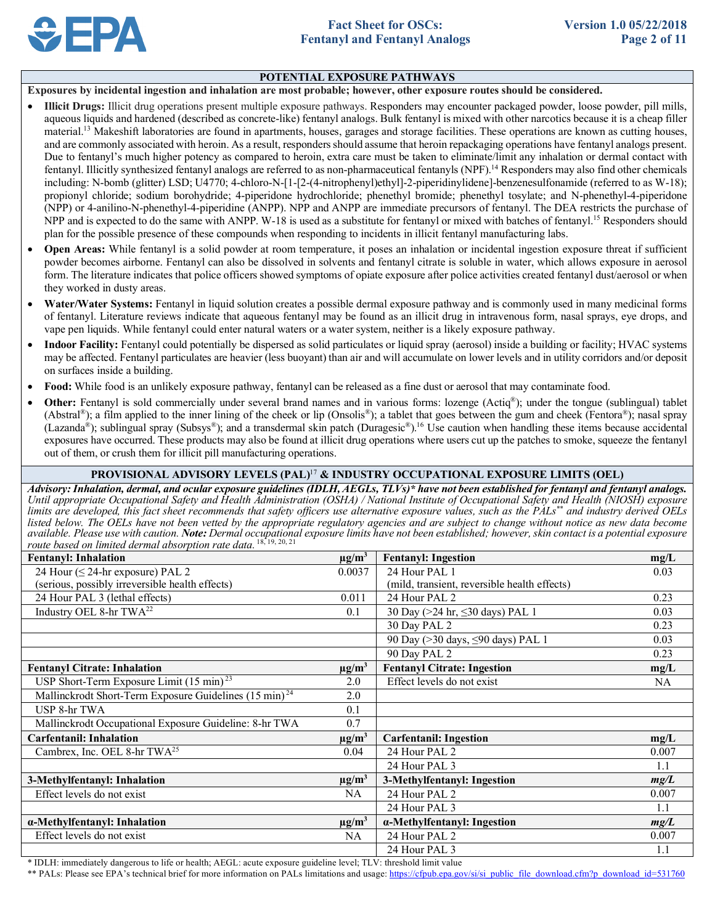

### **POTENTIAL EXPOSURE PATHWAYS**

 **Exposures by incidental ingestion and inhalation are most probable; however, other exposure routes should be considered.** 

- • **Illicit Drugs:** Illicit drug operations present multiple exposure pathways. Responders may encounter packaged powder, loose powder, pill mills, aqueous liquids and hardened (described as concrete-like) fentanyl analogs. Bulk fentanyl is mixed with other narcotics because it is a cheap filler material.<sup>13</sup> Makeshift laboratories are found in apartments, houses, garages and storage facilities. These operations are known as cutting houses, and are commonly associated with heroin. As a result, responders should assume that heroin repackaging operations have fentanyl analogs present. Due to fentanyl's much higher potency as compared to heroin, extra care must be taken to eliminate/limit any inhalation or dermal contact with fentanyl. Illicitly synthesized fentanyl analogs are referred to as non-pharmaceutical fentanyls (NPF).<sup>14</sup> Responders may also find other chemicals including: N-bomb (glitter) LSD; U4770; 4-chloro-N-[1-[2-(4-nitrophenyl)ethyl]-2-piperidinylidene]-benzenesulfonamide (referred to as W-18); propionyl chloride; sodium borohydride; 4-piperidone hydrochloride; phenethyl bromide; phenethyl tosylate; and N-phenethyl-4-piperidone (NPP) or 4-anilino-N-phenethyl-4-piperidine (ANPP). NPP and ANPP are immediate precursors of fentanyl. The DEA restricts the purchase of NPP and is expected to do the same with ANPP. W-18 is used as a substitute for fentanyl or mixed with batches of fentanyl.<sup>15</sup> Responders should plan for the possible presence of these compounds when responding to incidents in illicit fentanyl manufacturing labs.
- • **Open Areas:** While fentanyl is a solid powder at room temperature, it poses an inhalation or incidental ingestion exposure threat if sufficient powder becomes airborne. Fentanyl can also be dissolved in solvents and fentanyl citrate is soluble in water, which allows exposure in aerosol form. The literature indicates that police officers showed symptoms of opiate exposure after police activities created fentanyl dust/aerosol or when they worked in dusty areas.
- • **Water/Water Systems:** Fentanyl in liquid solution creates a possible dermal exposure pathway and is commonly used in many medicinal forms of fentanyl. Literature reviews indicate that aqueous fentanyl may be found as an illicit drug in intravenous form, nasal sprays, eye drops, and vape pen liquids. While fentanyl could enter natural waters or a water system, neither is a likely exposure pathway.
- Indoor Facility: Fentanyl could potentially be dispersed as solid particulates or liquid spray (aerosol) inside a building or facility; HVAC systems may be affected. Fentanyl particulates are heavier (less buoyant) than air and will accumulate on lower levels and in utility corridors and/or deposit on surfaces inside a building.
- **Food:** While food is an unlikely exposure pathway, fentanyl can be released as a fine dust or aerosol that may contaminate food.
- Other: Fentanyl is sold commercially under several brand names and in various forms: lozenge (Actiq®); under the tongue (sublingual) tablet (Abstral®); a film applied to the inner lining of the cheek or lip (Onsolis®); a tablet that goes between the gum and cheek (Fentora®); nasal spray (Lazanda®); sublingual spray (Subsys®); and a transdermal skin patch (Duragesic®).<sup>16</sup> Use caution when handling these items because accidental exposures have occurred. These products may also be found at illicit drug operations where users cut up the patches to smoke, squeeze the fentanyl out of them, or crush them for illicit pill manufacturing operations.

### **PROVISIONAL ADVISORY LEVELS (PAL)**<sup>17</sup>**& INDUSTRY OCCUPATIONAL EXPOSURE LIMITS (OEL)**

 *Advisory: Inhalation, dermal, and ocular exposure guidelines (IDLH, AEGLs, TLVs)\* have not been established for fentanyl and fentanyl analogs. listed below. The OELs have not been vetted by the appropriate regulatory agencies and are subject to change without notice as new data become Until appropriate Occupational Safety and Health Administration (OSHA) / National Institute of Occupational Safety and Health (NIOSH) exposure limits are developed, this fact sheet recommends that safety officers use alternative exposure values, such as the PALs\*\* and industry derived OELs available. Please use with caution. Note: Dermal occupational exposure limits have not been established; however, skin contact is a potential exposure route based on limited dermal absorption rate data.* <sup>18, 19, 20, 21</sup>

| <b>Fentanyl: Inhalation</b>                                        |        | <b>Fentanyl: Ingestion</b>                   | mg/L  |
|--------------------------------------------------------------------|--------|----------------------------------------------|-------|
| 24 Hour (≤ 24-hr exposure) PAL 2                                   | 0.0037 | 24 Hour PAL 1                                | 0.03  |
| (serious, possibly irreversible health effects)                    |        | (mild, transient, reversible health effects) |       |
| 24 Hour PAL 3 (lethal effects)                                     | 0.011  | 24 Hour PAL 2                                | 0.23  |
| Industry OEL 8-hr TWA <sup>22</sup>                                | 0.1    | 30 Day (>24 hr, ≤30 days) PAL 1              | 0.03  |
|                                                                    |        | 30 Day PAL 2                                 | 0.23  |
|                                                                    |        | 90 Day (>30 days, ≤90 days) PAL 1            | 0.03  |
|                                                                    |        | 90 Day PAL 2                                 | 0.23  |
| <b>Fentanyl Citrate: Inhalation</b>                                |        | <b>Fentanyl Citrate: Ingestion</b>           | mg/L  |
| USP Short-Term Exposure Limit $(15 \text{ min})^{23}$              |        | Effect levels do not exist                   | NA.   |
| Mallinckrodt Short-Term Exposure Guidelines (15 min) <sup>24</sup> | 2.0    |                                              |       |
| USP 8-hr TWA                                                       | 0.1    |                                              |       |
| Mallinckrodt Occupational Exposure Guideline: 8-hr TWA             | 0.7    |                                              |       |
| <b>Carfentanil: Inhalation</b><br>$\mu$ g/m <sup>3</sup>           |        | <b>Carfentanil: Ingestion</b>                | mg/L  |
| Cambrex, Inc. OEL 8-hr TWA <sup>25</sup>                           |        | 24 Hour PAL 2                                | 0.007 |
|                                                                    |        | 24 Hour PAL 3                                | 1.1   |
| 3-Methylfentanyl: Inhalation                                       |        | 3-Methylfentanyl: Ingestion                  | mg/L  |
| Effect levels do not exist                                         | NA     | 24 Hour PAL 2                                | 0.007 |
|                                                                    |        | 24 Hour PAL 3                                | 1.1   |
| $\mu$ g/m <sup>3</sup><br>a-Methylfentanyl: Inhalation             |        | a-Methylfentanyl: Ingestion                  | mg/L  |
| Effect levels do not exist                                         |        | 24 Hour PAL 2                                | 0.007 |
|                                                                    |        | 24 Hour PAL 3                                | 1.1   |

\* IDLH: immediately dangerous to life or health; AEGL: acute exposure guideline level; TLV: threshold limit value

\*\* PALs: Please see EPA's technical brief for more information on PALs limitations and usage: https://cfpub.epa.gov/si/si\_public\_file\_download.cfm?p\_download\_id=531760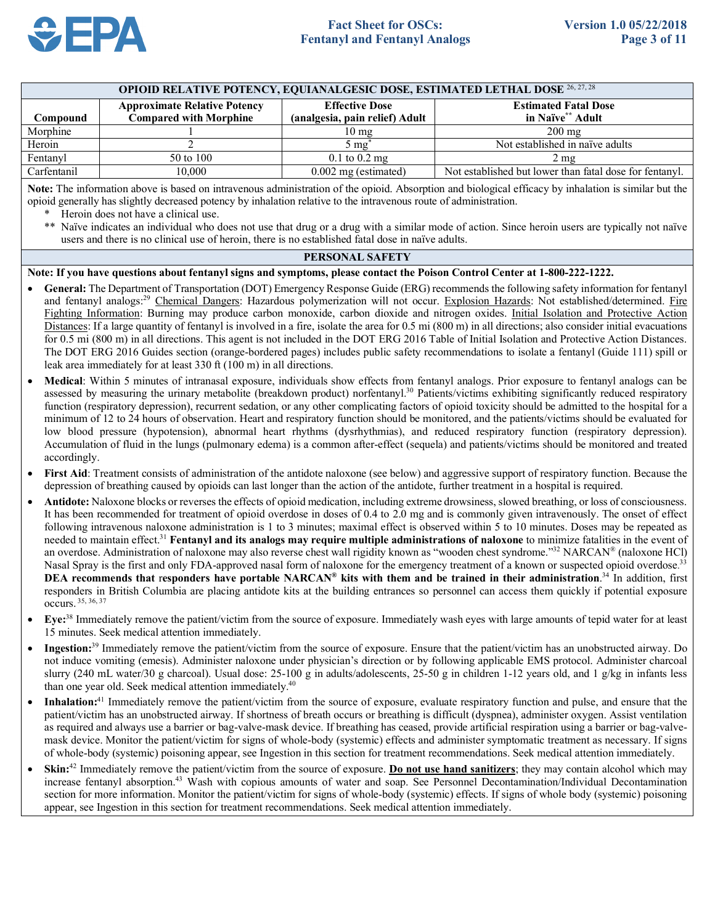

| Compound                                                                                                                                                                                                                                                                                                                                                                                                                                                                                                                                                                         | <b>Approximate Relative Potency</b><br><b>Compared with Morphine</b> | <b>Effective Dose</b><br>(analgesia, pain relief) Adult | <b>Estimated Fatal Dose</b><br>in Naïve** Adult         |  |  |  |
|----------------------------------------------------------------------------------------------------------------------------------------------------------------------------------------------------------------------------------------------------------------------------------------------------------------------------------------------------------------------------------------------------------------------------------------------------------------------------------------------------------------------------------------------------------------------------------|----------------------------------------------------------------------|---------------------------------------------------------|---------------------------------------------------------|--|--|--|
| Morphine                                                                                                                                                                                                                                                                                                                                                                                                                                                                                                                                                                         |                                                                      | $10 \text{ mg}$                                         | $200 \text{ mg}$                                        |  |  |  |
| Heroin                                                                                                                                                                                                                                                                                                                                                                                                                                                                                                                                                                           |                                                                      | $5 \text{ mg}^*$                                        | Not established in naïve adults                         |  |  |  |
| Fentanyl                                                                                                                                                                                                                                                                                                                                                                                                                                                                                                                                                                         | 50 to 100                                                            | $0.1 \text{ to } 0.2 \text{ mg}$                        | $2 \text{ mg}$                                          |  |  |  |
| Carfentanil                                                                                                                                                                                                                                                                                                                                                                                                                                                                                                                                                                      | 10.000                                                               | $0.002$ mg (estimated)                                  | Not established but lower than fatal dose for fentanyl. |  |  |  |
| Note: The information above is based on intravenous administration of the opioid. Absorption and biological efficacy by inhalation is similar but the<br>opioid generally has slightly decreased potency by inhalation relative to the intravenous route of administration.<br>Heroin does not have a clinical use.<br>∗<br>** Naïve indicates an individual who does not use that drug or a drug with a similar mode of action. Since heroin users are typically not naïve<br>users and there is no clinical use of heroin, there is no established fatal dose in naïve adults. |                                                                      |                                                         |                                                         |  |  |  |
| <b>PERSONAL SAFETY</b>                                                                                                                                                                                                                                                                                                                                                                                                                                                                                                                                                           |                                                                      |                                                         |                                                         |  |  |  |
| Note: If you have questions about fentanyl signs and symptoms, please contact the Poison Control Center at 1-800-222-1222.                                                                                                                                                                                                                                                                                                                                                                                                                                                       |                                                                      |                                                         |                                                         |  |  |  |
| • General: The Department of Transportation (DOT) Emergency Response Guide (ERG) recommends the following safety information for fentanyl<br>and fentanyl analogs. <sup>29</sup> Chemical Dangers: Hazardous polymerization will not occur. Explosion Hazards: Not established/determined. Fire<br>records and the state of the state of the state of the state of the state of the state of the state of the state of the state of the state of the state of the state of the state of the state of the state of the state of th                                                |                                                                      |                                                         |                                                         |  |  |  |

**OPIOID RELATIVE POTENCY, EQUIANALGESIC DOSE, ESTIMATED LETHAL DOSE** 26, 27, 28

- Fighting Information: Burning may produce carbon monoxide, carbon dioxide and nitrogen oxides. Initial Isolation and Protective Action Distances: If a large quantity of fentanyl is involved in a fire, isolate the area for 0.5 mi (800 m) in all directions; also consider initial evacuations for 0.5 mi (800 m) in all directions. This agent is not included in the DOT ERG 2016 Table of Initial Isolation and Protective Action Distances. The DOT ERG 2016 Guides section (orange-bordered pages) includes public safety recommendations to isolate a fentanyl (Guide 111) spill or leak area immediately for at least 330 ft (100 m) in all directions.
- • **Medical**: Within 5 minutes of intranasal exposure, individuals show effects from fentanyl analogs. Prior exposure to fentanyl analogs can be assessed by measuring the urinary metabolite (breakdown product) norfentanyl.<sup>30</sup> Patients/victims exhibiting significantly reduced respiratory function (respiratory depression), recurrent sedation, or any other complicating factors of opioid toxicity should be admitted to the hospital for a minimum of 12 to 24 hours of observation. Heart and respiratory function should be monitored, and the patients/victims should be evaluated for low blood pressure (hypotension), abnormal heart rhythms (dysrhythmias), and reduced respiratory function (respiratory depression). Accumulation of fluid in the lungs (pulmonary edema) is a common after-effect (sequela) and patients/victims should be monitored and treated accordingly.
- • **First Aid**: Treatment consists of administration of the antidote naloxone (see below) and aggressive support of respiratory function. Because the depression of breathing caused by opioids can last longer than the action of the antidote, further treatment in a hospital is required.
- • **Antidote:** Naloxone blocks or reverses the effects of opioid medication, including extreme drowsiness, slowed breathing, or loss of consciousness. It has been recommended for treatment of opioid overdose in doses of 0.4 to 2.0 mg and is commonly given intravenously. The onset of effect following intravenous naloxone administration is 1 to 3 minutes; maximal effect is observed within 5 to 10 minutes. Doses may be repeated as  needed to maintain effect.31 **Fentanyl and its analogs may require multiple administrations of naloxone** to minimize fatalities in the event of an overdose. Administration of naloxone may also reverse chest wall rigidity known as "wooden chest syndrome."<sup>32</sup> NARCAN® (naloxone HCl) Nasal Spray is the first and only FDA-approved nasal form of naloxone for the emergency treatment of a known or suspected opioid overdose.<sup>33</sup>  **DEA recommends that** r**esponders have portable NARCAN® kits with them and be trained in their administration**. 34 In addition, first responders in British Columbia are placing antidote kits at the building entrances so personnel can access them quickly if potential exposure occurs. 35, 36, 37
- Eye:<sup>38</sup> Immediately remove the patient/victim from the source of exposure. Immediately wash eyes with large amounts of tepid water for at least 15 minutes. Seek medical attention immediately.
- **Ingestion:**<sup>39</sup> Immediately remove the patient/victim from the source of exposure. Ensure that the patient/victim has an unobstructed airway. Do not induce vomiting (emesis). Administer naloxone under physician's direction or by following applicable EMS protocol. Administer charcoal slurry (240 mL water/30 g charcoal). Usual dose: 25-100 g in adults/adolescents, 25-50 g in children 1-12 years old, and 1 g/kg in infants less than one year old. Seek medical attention immediately.<sup>40</sup>
- • **Inhalation:**41 Immediately remove the patient/victim from the source of exposure, evaluate respiratory function and pulse, and ensure that the patient/victim has an unobstructed airway. If shortness of breath occurs or breathing is difficult (dyspnea), administer oxygen. Assist ventilation as required and always use a barrier or bag-valve-mask device. If breathing has ceased, provide artificial respiration using a barrier or bag-valve- mask device. Monitor the patient/victim for signs of whole-body (systemic) effects and administer symptomatic treatment as necessary. If signs of whole-body (systemic) poisoning appear, see Ingestion in this section for treatment recommendations. Seek medical attention immediately.
- Skin:<sup>42</sup> Immediately remove the patient/victim from the source of exposure. **Do not use hand sanitizers**; they may contain alcohol which may increase fentanyl absorption.43 Wash with copious amounts of water and soap. See Personnel Decontamination/Individual Decontamination section for more information. Monitor the patient/victim for signs of whole-body (systemic) effects. If signs of whole body (systemic) poisoning appear, see Ingestion in this section for treatment recommendations. Seek medical attention immediately.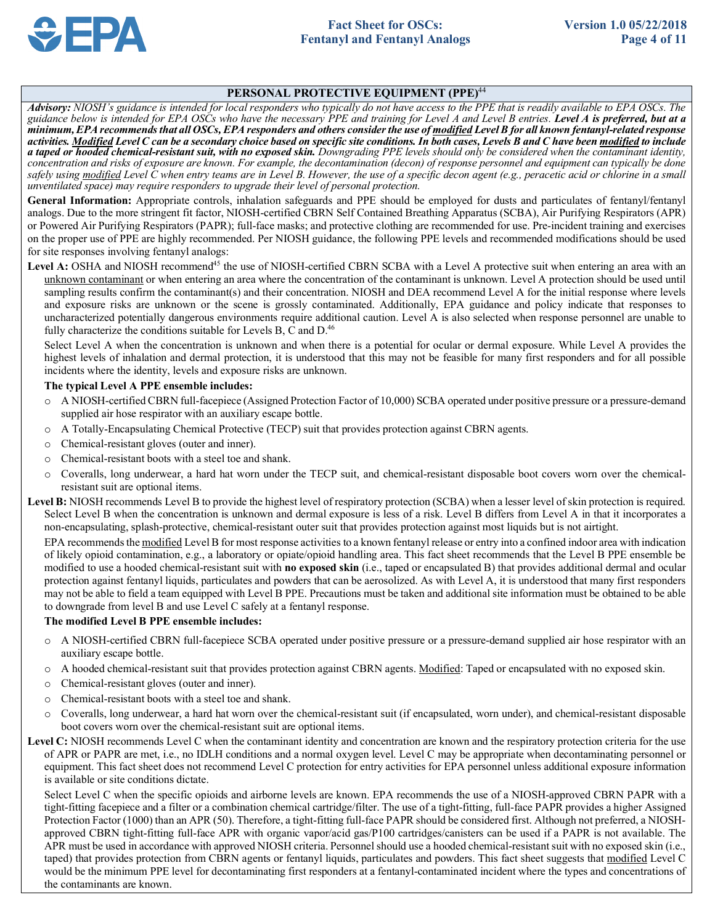### **PERSONAL PROTECTIVE EQUIPMENT (PPE)**<sup>44</sup>

 *Advisory: NIOSH's guidance is intended for local responders who typically do not have access to the PPE that is readily available to EPA OSCs. The*  guidance below is intended for EPA OSCs who have the necessary PPE and training for Level A and Level B entries. Level A is preferred, but at a  *concentration and risks of exposure are known. For example, the decontamination (decon) of response personnel and equipment can typically be done safely using modified Level C when entry teams are in Level B. However, the use of a specific decon agent (e.g., peracetic acid or chlorine in a small unventilated space) may require responders to upgrade their level of personal protection. minimum, EPA recommends that all OSCs, EPA responders and others consider the use of modified Level B for all known fentanyl-related response activities. Modified Level C can be a secondary choice based on specific site conditions. In both cases, Levels B and C have been modified to include a taped or hooded chemical-resistant suit, with no exposed skin. Downgrading PPE levels should only be considered when the contaminant identity,*

 **General Information:** Appropriate controls, inhalation safeguards and PPE should be employed for dusts and particulates of fentanyl/fentanyl or Powered Air Purifying Respirators (PAPR); full-face masks; and protective clothing are recommended for use. Pre-incident training and exercises for site responses involving fentanyl analogs: analogs. Due to the more stringent fit factor, NIOSH-certified CBRN Self Contained Breathing Apparatus (SCBA), Air Purifying Respirators (APR) on the proper use of PPE are highly recommended. Per NIOSH guidance, the following PPE levels and recommended modifications should be used

Level A: OSHA and NIOSH recommend<sup>45</sup> the use of NIOSH-certified CBRN SCBA with a Level A protective suit when entering an area with an unknown contaminant or when entering an area where the concentration of the contaminant is unknown. Level A protection should be used until sampling results confirm the contaminant(s) and their concentration. NIOSH and DEA recommend Level A for the initial response where levels and exposure risks are unknown or the scene is grossly contaminated. Additionally, EPA guidance and policy indicate that responses to uncharacterized potentially dangerous environments require additional caution. Level A is also selected when response personnel are unable to fully characterize the conditions suitable for Levels B, C and  $D<sup>46</sup>$ 

 Select Level A when the concentration is unknown and when there is a potential for ocular or dermal exposure. While Level A provides the highest levels of inhalation and dermal protection, it is understood that this may not be feasible for many first responders and for all possible incidents where the identity, levels and exposure risks are unknown.

### **The typical Level A PPE ensemble includes:**

- o A NIOSH-certified CBRN full-facepiece (Assigned Protection Factor of 10,000) SCBA operated under positive pressure or a pressure-demand supplied air hose respirator with an auxiliary escape bottle.
- o A Totally-Encapsulating Chemical Protective (TECP) suit that provides protection against CBRN agents.
- o Chemical-resistant gloves (outer and inner).
- o Chemical-resistant boots with a steel toe and shank.
- o Coveralls, long underwear, a hard hat worn under the TECP suit, and chemical-resistant disposable boot covers worn over the chemical-resistant suit are optional items.
- **Level B:** NIOSH recommends Level B to provide the highest level of respiratory protection (SCBA) when a lesser level of skin protection is required. Select Level B when the concentration is unknown and dermal exposure is less of a risk. Level B differs from Level A in that it incorporates a non-encapsulating, splash-protective, chemical-resistant outer suit that provides protection against most liquids but is not airtight.

EPA recommends the modified Level B for most response activities to a known fentanyl release or entry into a confined indoor area with indication of likely opioid contamination, e.g., a laboratory or opiate/opioid handling area. This fact sheet recommends that the Level B PPE ensemble be modified to use a hooded chemical-resistant suit with **no exposed skin** (i.e., taped or encapsulated B) that provides additional dermal and ocular protection against fentanyl liquids, particulates and powders that can be aerosolized. As with Level A, it is understood that many first responders may not be able to field a team equipped with Level B PPE. Precautions must be taken and additional site information must be obtained to be able to downgrade from level B and use Level C safely at a fentanyl response.

### **The modified Level B PPE ensemble includes:**

- o A NIOSH-certified CBRN full-facepiece SCBA operated under positive pressure or a pressure-demand supplied air hose respirator with an auxiliary escape bottle.
- o A hooded chemical-resistant suit that provides protection against CBRN agents. Modified: Taped or encapsulated with no exposed skin.
- o Chemical-resistant gloves (outer and inner).
- o Chemical-resistant boots with a steel toe and shank.
- o Coveralls, long underwear, a hard hat worn over the chemical-resistant suit (if encapsulated, worn under), and chemical-resistant disposable boot covers worn over the chemical-resistant suit are optional items.
- Level C: NIOSH recommends Level C when the contaminant identity and concentration are known and the respiratory protection criteria for the use of APR or PAPR are met, i.e., no IDLH conditions and a normal oxygen level. Level C may be appropriate when decontaminating personnel or equipment. This fact sheet does not recommend Level C protection for entry activities for EPA personnel unless additional exposure information is available or site conditions dictate.

 Select Level C when the specific opioids and airborne levels are known. EPA recommends the use of a NIOSH-approved CBRN PAPR with a tight-fitting facepiece and a filter or a combination chemical cartridge/filter. The use of a tight-fitting, full-face PAPR provides a higher Assigned Protection Factor (1000) than an APR (50). Therefore, a tight-fitting full-face PAPR should be considered first. Although not preferred, a NIOSH- approved CBRN tight-fitting full-face APR with organic vapor/acid gas/P100 cartridges/canisters can be used if a PAPR is not available. The APR must be used in accordance with approved NIOSH criteria. Personnel should use a hooded chemical-resistant suit with no exposed skin (i.e., taped) that provides protection from CBRN agents or fentanyl liquids, particulates and powders. This fact sheet suggests that modified Level C would be the minimum PPE level for decontaminating first responders at a fentanyl-contaminated incident where the types and concentrations of the contaminants are known.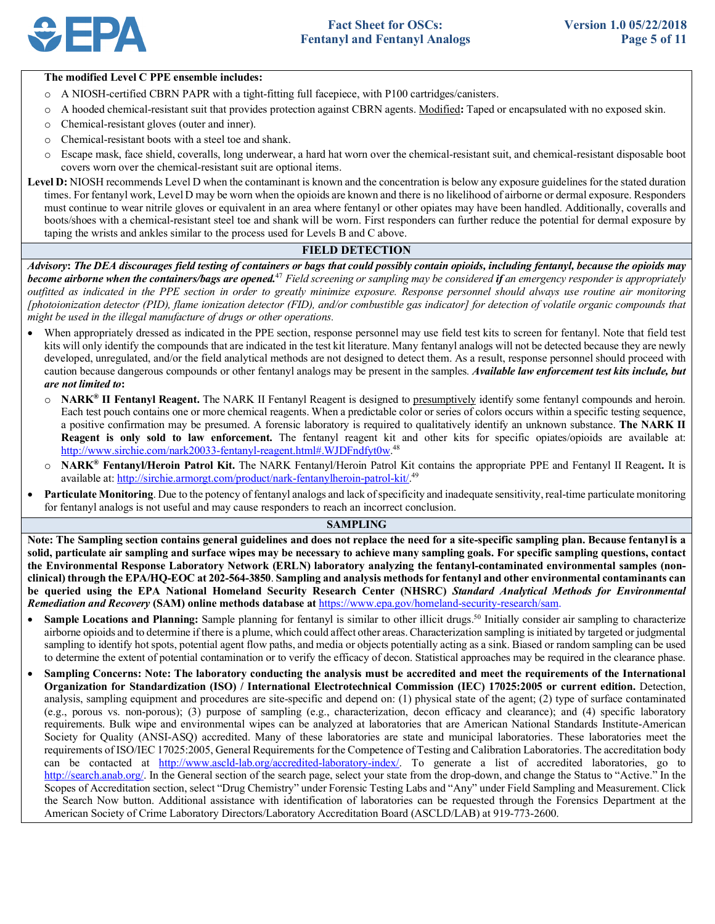

#### **The modified Level C PPE ensemble includes:**

- o A NIOSH-certified CBRN PAPR with a tight-fitting full facepiece, with P100 cartridges/canisters.
- o A hooded chemical-resistant suit that provides protection against CBRN agents. Modified**:** Taped or encapsulated with no exposed skin.
- o Chemical-resistant gloves (outer and inner).
- o Chemical-resistant boots with a steel toe and shank.
- o Escape mask, face shield, coveralls, long underwear, a hard hat worn over the chemical-resistant suit, and chemical-resistant disposable boot covers worn over the chemical-resistant suit are optional items.

Level D: NIOSH recommends Level D when the contaminant is known and the concentration is below any exposure guidelines for the stated duration times. For fentanyl work, Level D may be worn when the opioids are known and there is no likelihood of airborne or dermal exposure. Responders must continue to wear nitrile gloves or equivalent in an area where fentanyl or other opiates may have been handled. Additionally, coveralls and boots/shoes with a chemical-resistant steel toe and shank will be worn. First responders can further reduce the potential for dermal exposure by taping the wrists and ankles similar to the process used for Levels B and C above.

# **FIELD DETECTION**

 *Advisory***:** *The DEA discourages field testing of containers or bags that could possibly contain opioids, including fentanyl, because the opioids may become airborne when the containers/bags are opened.***<sup>47</sup> Field screening or sampling may be considered if an emergency responder is appropriately**  *outfitted as indicated in the PPE section in order to greatly minimize exposure. Response personnel should always use routine air monitoring [photoionization detector (PID), flame ionization detector (FID), and/or combustible gas indicator] for detection of volatile organic compounds that might be used in the illegal manufacture of drugs or other operations.* 

- • When appropriately dressed as indicated in the PPE section, response personnel may use field test kits to screen for fentanyl. Note that field test kits will only identify the compounds that are indicated in the test kit literature. Many fentanyl analogs will not be detected because they are newly developed, unregulated, and/or the field analytical methods are not designed to detect them. As a result, response personnel should proceed with caution because dangerous compounds or other fentanyl analogs may be present in the samples*. Available law enforcement test kits include, but are not limited to***:** 
	- o **NARK® II Fentanyl Reagent.** The NARK II Fentanyl Reagent is designed to presumptively identify some fentanyl compounds and heroin. Each test pouch contains one or more chemical reagents. When a predictable color or series of colors occurs within a specific testing sequence, a positive confirmation may be presumed. A forensic laboratory is required to qualitatively identify an unknown substance. **The NARK II Reagent is only sold to law enforcement.** The fentanyl reagent kit and other kits for specific opiates/opioids are available at: http://www.sirchie.com/nark20033-fentanyl-reagent.html#.WJDFndfyt0w.<sup>48</sup>
	- o **NARK® Fentanyl/Heroin Patrol Kit.** The NARK Fentanyl/Heroin Patrol Kit contains the appropriate PPE and Fentanyl II Reagent**.** It is available at: http://sirchie.armorgt.com/product/nark-fentanylheroin-patrol-kit/.<sup>49</sup>
- • **Particulate Monitoring**. Due to the potency of fentanyl analogs and lack of specificity and inadequate sensitivity, real-time particulate monitoring for fentanyl analogs is not useful and may cause responders to reach an incorrect conclusion.

### **SAMPLING**

 **Note: The Sampling section contains general guidelines and does not replace the need for a site-specific sampling plan. Because fentanyl is a solid, particulate air sampling and surface wipes may be necessary to achieve many sampling goals. For specific sampling questions, contact the Environmental Response Laboratory Network (ERLN) laboratory analyzing the fentanyl-contaminated environmental samples (non- clinical) through the EPA/HQ-EOC at 202-564-3850**. **Sampling and analysis methods for fentanyl and other environmental contaminants can be queried using the EPA National Homeland Security Research Center (NHSRC)** *Standard Analytical Methods for Environmental Remediation and Recovery* **(SAM) online methods database at** https://www.epa.gov/homeland-security-research/sam.

- Sample Locations and Planning: Sample planning for fentanyl is similar to other illicit drugs.<sup>50</sup> Initially consider air sampling to characterize airborne opioids and to determine if there is a plume, which could affect other areas. Characterization sampling is initiated by targeted or judgmental sampling to identify hot spots, potential agent flow paths, and media or objects potentially acting as a sink. Biased or random sampling can be used to determine the extent of potential contamination or to verify the efficacy of decon. Statistical approaches may be required in the clearance phase.
- **Sampling Concerns: Note: The laboratory conducting the analysis must be accredited and meet the requirements of the International Organization for Standardization (ISO) / International Electrotechnical Commission (IEC) 17025:2005 or current edition.** Detection, analysis, sampling equipment and procedures are site-specific and depend on: (1) physical state of the agent; (2) type of surface contaminated (e.g., porous vs. non-porous); (3) purpose of sampling (e.g., characterization, decon efficacy and clearance); and (4) specific laboratory requirements. Bulk wipe and environmental wipes can be analyzed at laboratories that are American National Standards Institute-American Society for Quality (ANSI-ASQ) accredited. Many of these laboratories are state and municipal laboratories. These laboratories meet the requirements of ISO/IEC 17025:2005, General Requirements for the Competence of Testing and Calibration Laboratories. The accreditation body can be contacted at http://www.ascld-lab.org/accredited-laboratory-index/. To generate a list of accredited laboratories, go to http://search.anab.org/. In the General section of the search page, select your state from the drop-down, and change the Status to "Active." In the Scopes of Accreditation section, select "Drug Chemistry" under Forensic Testing Labs and "Any" under Field Sampling and Measurement. Click the Search Now button. Additional assistance with identification of laboratories can be requested through the Forensics Department at the American Society of Crime Laboratory Directors/Laboratory Accreditation Board (ASCLD/LAB) at 919-773-2600.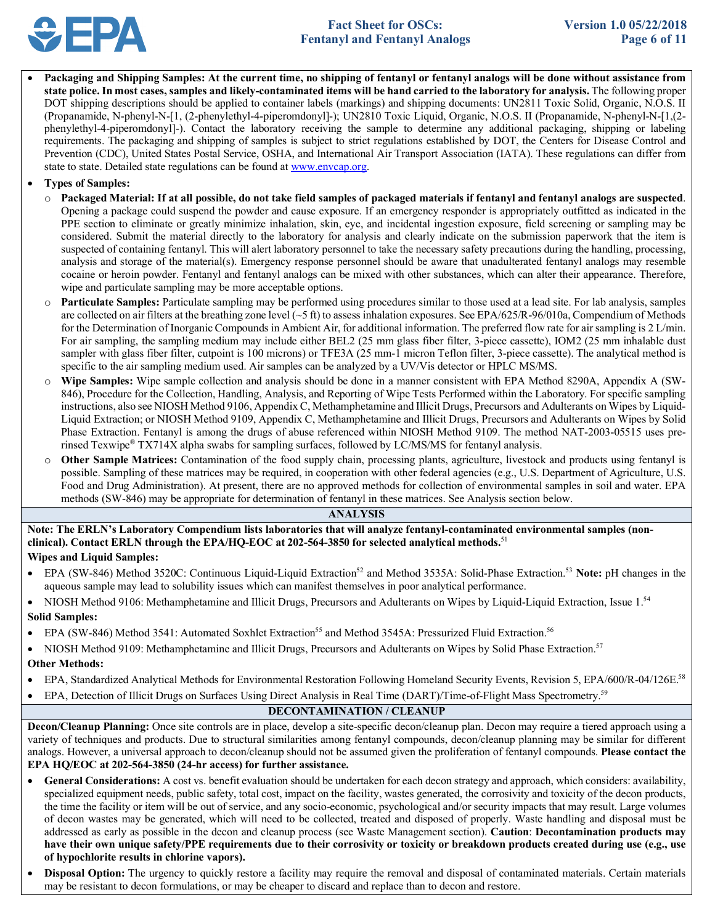

 • **Packaging and Shipping Samples: At the current time, no shipping of fentanyl or fentanyl analogs will be done without assistance from state police. In most cases, samples and likely-contaminated items will be hand carried to the laboratory for analysis.** The following proper DOT shipping descriptions should be applied to container labels (markings) and shipping documents: UN2811 Toxic Solid, Organic, N.O.S. II (Propanamide, N-phenyl-N-[1, (2-phenylethyl-4-piperomdonyl]-); UN2810 Toxic Liquid, Organic, N.O.S. II (Propanamide, N-phenyl-N-[1,(2- phenylethyl-4-piperomdonyl]-). Contact the laboratory receiving the sample to determine any additional packaging, shipping or labeling requirements. The packaging and shipping of samples is subject to strict regulations established by DOT, the Centers for Disease Control and Prevention (CDC), United States Postal Service, OSHA, and International Air Transport Association (IATA). These regulations can differ from state to state. Detailed state regulations can be found at www.envcap.org.

# • **Types of Samples:**

- o **Packaged Material: If at all possible, do not take field samples of packaged materials if fentanyl and fentanyl analogs are suspected**. Opening a package could suspend the powder and cause exposure. If an emergency responder is appropriately outfitted as indicated in the PPE section to eliminate or greatly minimize inhalation, skin, eye, and incidental ingestion exposure, field screening or sampling may be considered. Submit the material directly to the laboratory for analysis and clearly indicate on the submission paperwork that the item is suspected of containing fentanyl. This will alert laboratory personnel to take the necessary safety precautions during the handling, processing, analysis and storage of the material(s). Emergency response personnel should be aware that unadulterated fentanyl analogs may resemble cocaine or heroin powder. Fentanyl and fentanyl analogs can be mixed with other substances, which can alter their appearance. Therefore, wipe and particulate sampling may be more acceptable options.
- o **Particulate Samples:** Particulate sampling may be performed using procedures similar to those used at a lead site. For lab analysis, samples are collected on air filters at the breathing zone level  $({\sim}5 \text{ ft})$  to assess inhalation exposures. See EPA/625/R-96/010a, Compendium of Methods for the Determination of Inorganic Compounds in Ambient Air, for additional information. The preferred flow rate for air sampling is 2 L/min. For air sampling, the sampling medium may include either BEL2 (25 mm glass fiber filter, 3-piece cassette), IOM2 (25 mm inhalable dust specific to the air sampling medium used. Air samples can be analyzed by a UV/Vis detector or HPLC MS/MS. sampler with glass fiber filter, cutpoint is 100 microns) or TFE3A (25 mm-1 micron Teflon filter, 3-piece cassette). The analytical method is
- o **Wipe Samples:** Wipe sample collection and analysis should be done in a manner consistent with EPA Method 8290A, Appendix A (SW- 846), Procedure for the Collection, Handling, Analysis, and Reporting of Wipe Tests Performed within the Laboratory. For specific sampling instructions, also see NIOSH Method 9106, Appendix C, Methamphetamine and Illicit Drugs, Precursors and Adulterants on Wipes by Liquid- Liquid Extraction; or NIOSH Method 9109, Appendix C, Methamphetamine and Illicit Drugs, Precursors and Adulterants on Wipes by Solid Phase Extraction. Fentanyl is among the drugs of abuse referenced within NIOSH Method 9109. The method NAT-2003-05515 uses pre-rinsed Texwipe® TX714X alpha swabs for sampling surfaces, followed by LC/MS/MS for fentanyl analysis.
- o **Other Sample Matrices:** Contamination of the food supply chain, processing plants, agriculture, livestock and products using fentanyl is Food and Drug Administration). At present, there are no approved methods for collection of environmental samples in soil and water. EPA possible. Sampling of these matrices may be required, in cooperation with other federal agencies (e.g., U.S. Department of Agriculture, U.S. methods (SW-846) may be appropriate for determination of fentanyl in these matrices. See Analysis section below.

#### **ANALYSIS**

 **Note: The ERLN's Laboratory Compendium lists laboratories that will analyze fentanyl-contaminated environmental samples (non- clinical). Contact ERLN through the EPA/HQ-EOC at 202-564-3850 for selected analytical methods.**<sup>51</sup>

# **Wipes and Liquid Samples:**

- EPA (SW-846) Method 3520C: Continuous Liquid-Liquid Extraction<sup>52</sup> and Method 3535A: Solid-Phase Extraction.<sup>53</sup> Note: pH changes in the aqueous sample may lead to solubility issues which can manifest themselves in poor analytical performance.
- NIOSH Method 9106: Methamphetamine and Illicit Drugs, Precursors and Adulterants on Wipes by Liquid-Liquid Extraction, Issue 1.54 **Solid Samples:**
- EPA (SW-846) Method 3541: Automated Soxhlet Extraction<sup>55</sup> and Method 3545A: Pressurized Fluid Extraction.<sup>56</sup>
- NIOSH Method 9109: Methamphetamine and Illicit Drugs, Precursors and Adulterants on Wipes by Solid Phase Extraction.<sup>57</sup> **Other Methods:**
- EPA, Standardized Analytical Methods for Environmental Restoration Following Homeland Security Events, Revision 5, EPA/600/R-04/126E.<sup>58</sup>
- EPA, Detection of Illicit Drugs on Surfaces Using Direct Analysis in Real Time (DART)/Time-of-Flight Mass Spectrometry.59

# **DECONTAMINATION / CLEANUP**

 **Decon/Cleanup Planning:** Once site controls are in place, develop a site-specific decon/cleanup plan. Decon may require a tiered approach using a variety of techniques and products. Due to structural similarities among fentanyl compounds, decon/cleanup planning may be similar for different  **EPA HQ/EOC at 202-564-3850 (24-hr access) for further assistance.**  analogs. However, a universal approach to decon/cleanup should not be assumed given the proliferation of fentanyl compounds. **Please contact the** 

- • **General Considerations:** A cost vs. benefit evaluation should be undertaken for each decon strategy and approach, which considers: availability, the time the facility or item will be out of service, and any socio-economic, psychological and/or security impacts that may result. Large volumes of decon wastes may be generated, which will need to be collected, treated and disposed of properly. Waste handling and disposal must be addressed as early as possible in the decon and cleanup process (see Waste Management section). **Caution**: **Decontamination products may have their own unique safety/PPE requirements due to their corrosivity or toxicity or breakdown products created during use (e.g., use**  specialized equipment needs, public safety, total cost, impact on the facility, wastes generated, the corrosivity and toxicity of the decon products, **of hypochlorite results in chlorine vapors).**
- • **Disposal Option:** The urgency to quickly restore a facility may require the removal and disposal of contaminated materials. Certain materials may be resistant to decon formulations, or may be cheaper to discard and replace than to decon and restore.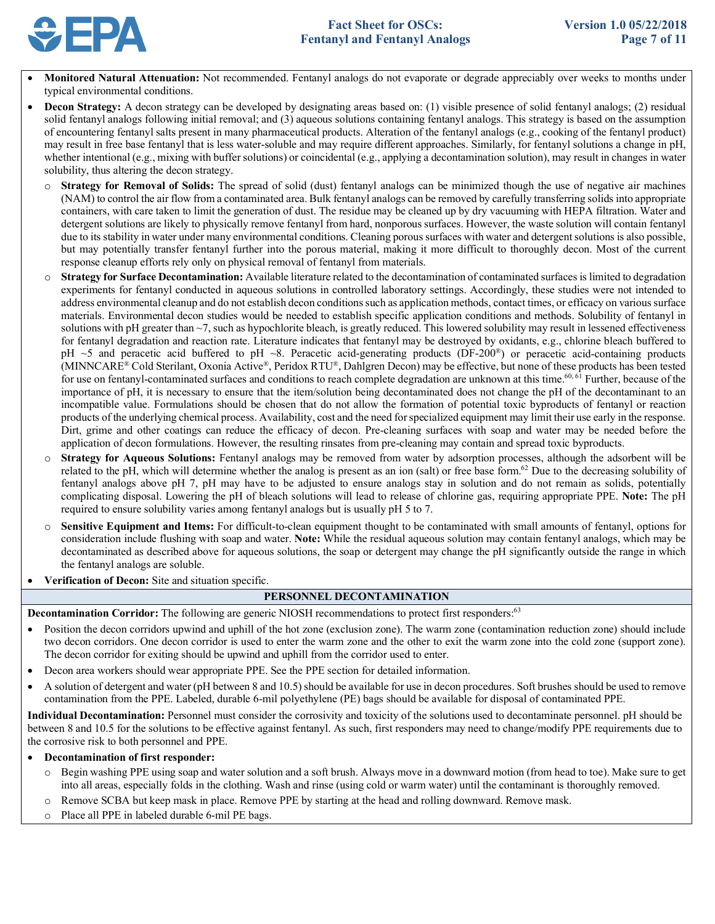

- Monitored Natural Attenuation: Not recommended. Fentanyl analogs do not evaporate or degrade appreciably over weeks to months under typical environmental conditions.
- • **Decon Strategy:** A decon strategy can be developed by designating areas based on: (1) visible presence of solid fentanyl analogs; (2) residual solid fentanyl analogs following initial removal; and (3) aqueous solutions containing fentanyl analogs. This strategy is based on the assumption may result in free base fentanyl that is less water-soluble and may require different approaches. Similarly, for fentanyl solutions a change in pH, whether intentional (e.g., mixing with buffer solutions) or coincidental (e.g., applying a decontamination solution), may result in changes in water of encountering fentanyl salts present in many pharmaceutical products. Alteration of the fentanyl analogs (e.g., cooking of the fentanyl product) solubility, thus altering the decon strategy.
	- o **Strategy for Removal of Solids:** The spread of solid (dust) fentanyl analogs can be minimized though the use of negative air machines (NAM) to control the air flow from a contaminated area. Bulk fentanyl analogs can be removed by carefully transferring solids into appropriate containers, with care taken to limit the generation of dust. The residue may be cleaned up by dry vacuuming with HEPA filtration. Water and detergent solutions are likely to physically remove fentanyl from hard, nonporous surfaces. However, the waste solution will contain fentanyl due to its stability in water under many environmental conditions. Cleaning porous surfaces with water and detergent solutions is also possible, but may potentially transfer fentanyl further into the porous material, making it more difficult to thoroughly decon. Most of the current response cleanup efforts rely only on physical removal of fentanyl from materials.
	- o **Strategy for Surface Decontamination:** Available literature related to the decontamination of contaminated surfaces is limited to degradation experiments for fentanyl conducted in aqueous solutions in controlled laboratory settings. Accordingly, these studies were not intended to address environmental cleanup and do not establish decon conditions such as application methods, contact times, or efficacy on various surface materials. Environmental decon studies would be needed to establish specific application conditions and methods. Solubility of fentanyl in solutions with pH greater than  $\sim$ 7, such as hypochlorite bleach, is greatly reduced. This lowered solubility may result in lessened effectiveness for fentanyl degradation and reaction rate. Literature indicates that fentanyl may be destroyed by oxidants, e.g., chlorine bleach buffered to pH  $\sim$ 5 and peracetic acid buffered to pH  $\sim$ 8. Peracetic acid-generating products (DF-200<sup>®</sup>) or peracetic acid-containing products (MINNCARE® Cold Sterilant, Oxonia Active®, Peridox RTU®, Dahlgren Decon) may be effective, but none of these products has been tested for use on fentanyl-contaminated surfaces and conditions to reach complete degradation are unknown at this time.<sup>60, 61</sup> Further, because of the importance of pH, it is necessary to ensure that the item/solution being decontaminated does not change the pH of the decontaminant to an incompatible value. Formulations should be chosen that do not allow the formation of potential toxic byproducts of fentanyl or reaction products of the underlying chemical process. Availability, cost and the need for specialized equipment may limit their use early in the response. Dirt, grime and other coatings can reduce the efficacy of decon. Pre-cleaning surfaces with soap and water may be needed before the application of decon formulations. However, the resulting rinsates from pre-cleaning may contain and spread toxic byproducts.
	- o **Strategy for Aqueous Solutions:** Fentanyl analogs may be removed from water by adsorption processes, although the adsorbent will be related to the pH, which will determine whether the analog is present as an ion (salt) or free base form.<sup>62</sup> Due to the decreasing solubility of fentanyl analogs above pH 7, pH may have to be adjusted to ensure analogs stay in solution and do not remain as solids, potentially complicating disposal. Lowering the pH of bleach solutions will lead to release of chlorine gas, requiring appropriate PPE. **Note:** The pH required to ensure solubility varies among fentanyl analogs but is usually pH 5 to 7.
	- o **Sensitive Equipment and Items:** For difficult-to-clean equipment thought to be contaminated with small amounts of fentanyl, options for consideration include flushing with soap and water. **Note:** While the residual aqueous solution may contain fentanyl analogs, which may be decontaminated as described above for aqueous solutions, the soap or detergent may change the pH significantly outside the range in which the fentanyl analogs are soluble.
- **Verification of Decon:** Site and situation specific.

# **PERSONNEL DECONTAMINATION**

**Decontamination Corridor:** The following are generic NIOSH recommendations to protect first responders:<sup>63</sup>

- • Position the decon corridors upwind and uphill of the hot zone (exclusion zone). The warm zone (contamination reduction zone) should include two decon corridors. One decon corridor is used to enter the warm zone and the other to exit the warm zone into the cold zone (support zone). The decon corridor for exiting should be upwind and uphill from the corridor used to enter.
- Decon area workers should wear appropriate PPE. See the PPE section for detailed information.
- • A solution of detergent and water (pH between 8 and 10.5) should be available for use in decon procedures. Soft brushes should be used to remove contamination from the PPE. Labeled, durable 6-mil polyethylene (PE) bags should be available for disposal of contaminated PPE.

 between 8 and 10.5 for the solutions to be effective against fentanyl. As such, first responders may need to change/modify PPE requirements due to the corrosive risk to both personnel and PPE. **Individual Decontamination:** Personnel must consider the corrosivity and toxicity of the solutions used to decontaminate personnel. pH should be

# • **Decontamination of first responder:**

- o Begin washing PPE using soap and water solution and a soft brush. Always move in a downward motion (from head to toe). Make sure to get into all areas, especially folds in the clothing. Wash and rinse (using cold or warm water) until the contaminant is thoroughly removed.
- o Remove SCBA but keep mask in place. Remove PPE by starting at the head and rolling downward. Remove mask.
- o Place all PPE in labeled durable 6-mil PE bags.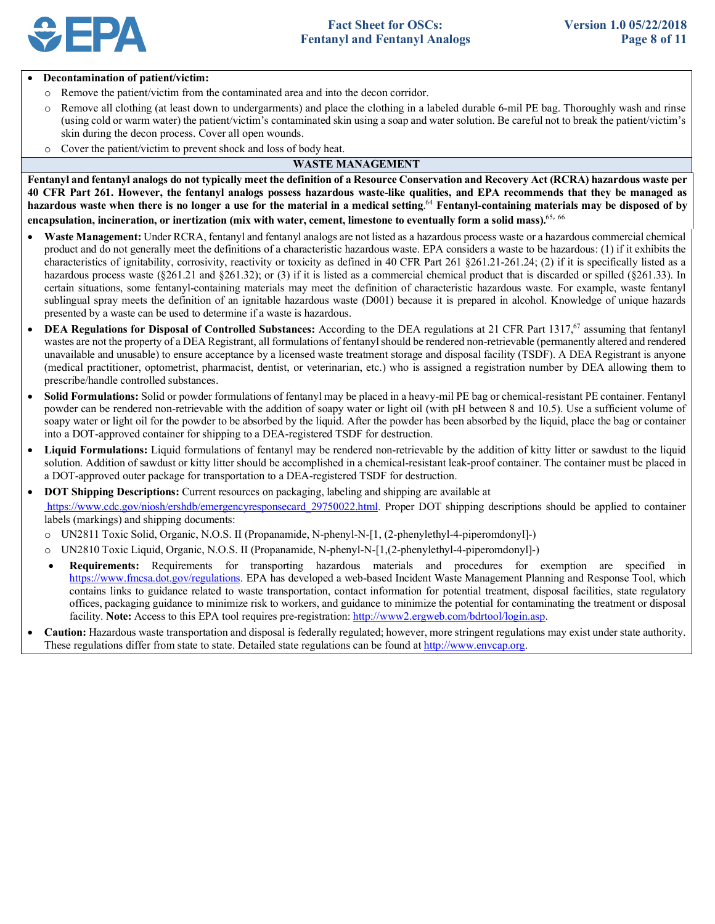

#### • **Decontamination of patient/victim:**

- o Remove the patient/victim from the contaminated area and into the decon corridor.
- o Remove all clothing (at least down to undergarments) and place the clothing in a labeled durable 6-mil PE bag. Thoroughly wash and rinse (using cold or warm water) the patient/victim's contaminated skin using a soap and water solution. Be careful not to break the patient/victim's skin during the decon process. Cover all open wounds.
- o Cover the patient/victim to prevent shock and loss of body heat.

### **WASTE MANAGEMENT**

 **Fentanyl and fentanyl analogs do not typically meet the definition of a Resource Conservation and Recovery Act (RCRA) hazardous waste per 40 CFR Part 261. However, the fentanyl analogs possess hazardous waste-like qualities, and EPA recommends that they be managed as hazardous waste when there is no longer a use for the material in a medical setting**. <sup>64</sup>**Fentanyl-containing materials may be disposed of by encapsulation, incineration, or inertization (mix with water, cement, limestone to eventually form a solid mass).**<sup>65</sup>, <sup>66</sup>

- • **Waste Management:** Under RCRA, fentanyl and fentanyl analogs are not listed as a hazardous process waste or a hazardous commercial chemical product and do not generally meet the definitions of a characteristic hazardous waste. EPA considers a waste to be hazardous: (1) if it exhibits the characteristics of ignitability, corrosivity, reactivity or toxicity as defined in 40 CFR Part 261 §261.21-261.24; (2) if it is specifically listed as a hazardous process waste (§261.21 and §261.32); or (3) if it is listed as a commercial chemical product that is discarded or spilled (§261.33). In certain situations, some fentanyl-containing materials may meet the definition of characteristic hazardous waste. For example, waste fentanyl sublingual spray meets the definition of an ignitable hazardous waste (D001) because it is prepared in alcohol. Knowledge of unique hazards presented by a waste can be used to determine if a waste is hazardous.
- DEA Regulations for Disposal of Controlled Substances: According to the DEA regulations at 21 CFR Part 1317,<sup>67</sup> assuming that fentanyl wastes are not the property of a DEA Registrant, all formulations of fentanyl should be rendered non-retrievable (permanently altered and rendered unavailable and unusable) to ensure acceptance by a licensed waste treatment storage and disposal facility (TSDF). A DEA Registrant is anyone (medical practitioner, optometrist, pharmacist, dentist, or veterinarian, etc.) who is assigned a registration number by DEA allowing them to prescribe/handle controlled substances.
- • **Solid Formulations:** Solid or powder formulations of fentanyl may be placed in a heavy-mil PE bag or chemical-resistant PE container. Fentanyl powder can be rendered non-retrievable with the addition of soapy water or light oil (with pH between 8 and 10.5). Use a sufficient volume of soapy water or light oil for the powder to be absorbed by the liquid. After the powder has been absorbed by the liquid, place the bag or container into a DOT-approved container for shipping to a DEA-registered TSDF for destruction.
- • **Liquid Formulations:** Liquid formulations of fentanyl may be rendered non-retrievable by the addition of kitty litter or sawdust to the liquid solution. Addition of sawdust or kitty litter should be accomplished in a chemical-resistant leak-proof container. The container must be placed in a DOT-approved outer package for transportation to a DEA-registered TSDF for destruction.
- • **DOT Shipping Descriptions:** Current resources on packaging, labeling and shipping are available at https://www.cdc.gov/niosh/ershdb/emergencyresponsecard\_29750022.html. Proper DOT shipping descriptions should be applied to container labels (markings) and shipping documents:
	- o UN2811 Toxic Solid, Organic, N.O.S. II (Propanamide, N-phenyl-N-[1, (2-phenylethyl-4-piperomdonyl]-)
	- o UN2810 Toxic Liquid, Organic, N.O.S. II (Propanamide, N-phenyl-N-[1,(2-phenylethyl-4-piperomdonyl]-)
	- • **Requirements:** Requirements for transporting hazardous materials and procedures for exemption are specified in https://www.fmcsa.dot.gov/regulations. EPA has developed a web-based Incident Waste Management Planning and Response Tool, which contains links to guidance related to waste transportation, contact information for potential treatment, disposal facilities, state regulatory offices, packaging guidance to minimize risk to workers, and guidance to minimize the potential for contaminating the treatment or disposal facility. **Note:** Access to this EPA tool requires pre-registration: http://www2.ergweb.com/bdrtool/login.asp.
- • **Caution:** Hazardous waste transportation and disposal is federally regulated; however, more stringent regulations may exist under state authority. These regulations differ from state to state. Detailed state regulations can be found at http://www.envcap.org.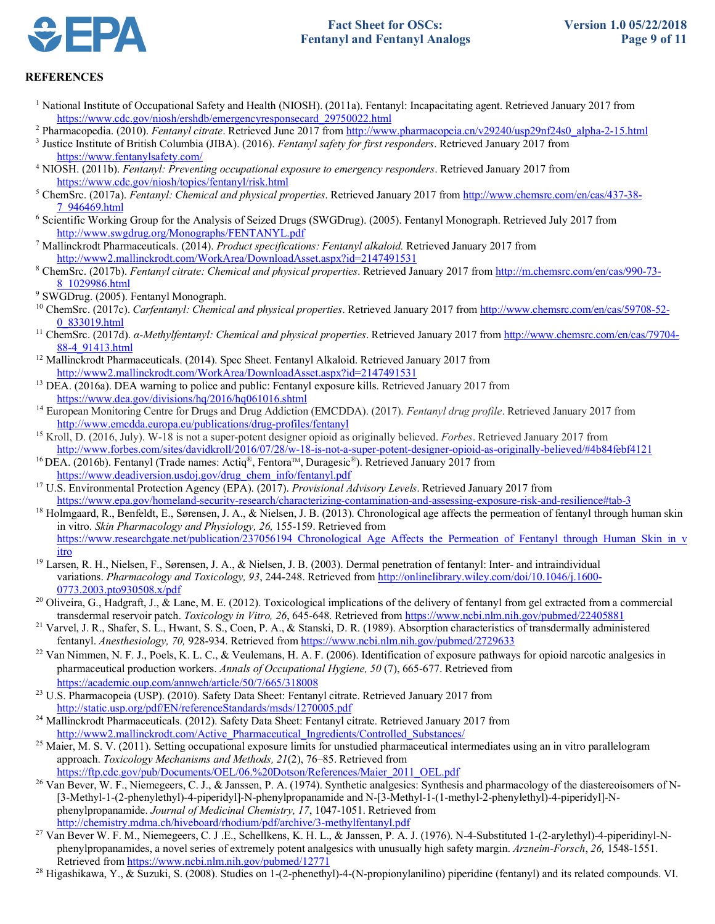

# **REFERENCES**

- <sup>1</sup> National Institute of Occupational Safety and Health (NIOSH). (2011a). Fentanyl: Incapacitating agent. Retrieved January 2017 from https://www.cdc.gov/niosh/ershdb/emergencyresponsecard\_29750022.html
- <sup>2</sup> Pharmacopedia. (2010). *Fentanyl citrate*. Retrieved June 2017 from http://www.pharmacopeia.cn/v29240/usp29nf24s0\_alpha-2-15.html
- 3 Justice Institute of British Columbia (JIBA). (2016). *Fentanyl safety for first responders*. Retrieved January 2017 from
- https://www.fentanylsafety.com/ 4 NIOSH. (2011b). *Fentanyl: Preventing occupational exposure to emergency responders*. Retrieved January 2017 from https://www.cdc.gov/niosh/topics/fentanyl/risk.html
- 5 ChemSrc. (2017a). *Fentanyl: Chemical and physical properties*. Retrieved January 2017 from http://www.chemsrc.com/en/cas/437-38- 7\_946469.html
- http://www.swgdrug.org/Monographs/FENTANYL.pdf  http://www.swgdrug.org/Monographs/FENTANYL.pdf 7 Mallinckrodt Pharmaceuticals. (2014). *Product specifications: Fentanyl alkaloid.* Retrieved January 2017 from 6 Scientific Working Group for the Analysis of Seized Drugs (SWGDrug). (2005). Fentanyl Monograph. Retrieved July 2017 from
- http://www2.mallinckrodt.com/WorkArea/DownloadAsset.aspx?id=2147491531
- 8\_1029986.html 8 ChemSrc. (2017b). *Fentanyl citrate: Chemical and physical properties*. Retrieved January 2017 from http://m.chemsrc.com/en/cas/990-73-
- 9 SWGDrug. (2005). Fentanyl Monograph.
- 10 ChemSrc. (2017c). *Carfentanyl: Chemical and physical properties*. Retrieved January 2017 from http://www.chemsrc.com/en/cas/59708-52- 0\_833019.html 11 ChemSrc. (2017d). *α-Methylfentanyl: Chemical and physical properties*. Retrieved January 2017 from http://www.chemsrc.com/en/cas/79704-
- 88-4\_91413.html 12 Mallinckrodt Pharmaceuticals. (2014). Spec Sheet. Fentanyl Alkaloid. Retrieved January 2017 from
- 
- http://www2.mallinckrodt.com/WorkArea/DownloadAsset.aspx?id=2147491531<br><sup>13</sup> DEA. (2016a). DEA warning to police and public: Fentanyl exposure kills. Retrieved January 2017 from https://www.dea.gov/divisions/hq/2016/hq061016.shtml
- https://www.dea.gov/divisions/hq/2016/hq061016.shtml 14 European Monitoring Centre for Drugs and Drug Addiction (EMCDDA). (2017). *Fentanyl drug profile*. Retrieved January 2017 from http://www.emcdda.europa.eu/publications/drug-profiles/fentanyl
- http://www.emcdda.europa.eu/publications/drug-profiles/fentanyl 15 Kroll, D. (2016, July). W-18 is not a super-potent designer opioid as originally believed. *Forbes*. Retrieved January 2017 from http://www.forbes.com/sites/davidkroll/2016/07/28/w-18-is-not-a-super-potent-designer-opioid-as-originally-believed/#4b84febf4121
- <sup>16</sup> DEA. (2016b). Fentanyl (Trade names: Actiq<sup>®</sup>, Fentora™, Duragesic<sup>®</sup>). Retrieved January 2017 from
- https://www.deadiversion.usdoj.gov/drug\_chem\_info/fentanyl.pdf 17 U.S. Environmental Protection Agency (EPA). (2017). *Provisional Advisory Levels*. Retrieved January 2017 from
- https://www.epa.gov/homeland-security-research/characterizing-contamination-and-assessing-exposure-risk-and-resilience#tab-3<br><sup>18</sup> Holmgaard, R., Benfeldt, E., Sørensen, J. A., & Nielsen, J. B. (2013). Chronological age aff in vitro. *Skin Pharmacology and Physiology, 26,* 155-159. Retrieved from itro https://www.researchgate.net/publication/237056194 Chronological Age Affects the Permeation of Fentanyl through Human Skin in v
- <sup>19</sup> Larsen, R. H., Nielsen, F., Sørensen, J. A., & Nielsen, J. B. (2003). Dermal penetration of fentanyl: Inter- and intraindividual variations. *Pharmacology and Toxicology, 93*, 244-248. Retrieved from http://onlinelibrary.wiley.com/doi/10.1046/j.1600- 0773.2003.pto930508.x/pdf
- <sup>20</sup> Oliveira, G., Hadgraft, J., & Lane, M. E. (2012). Toxicological implications of the delivery of fentanyl from gel extracted from a commercial transdermal reservoir patch. Toxicology in Vitro, 26, 645-648. Retrieved from https://www.ncbi.nlm.nih.gov/pubmed/22405881
- transdermal reservoir patch. Toxicology in Vitro, 26, 645-648. Retrieved from https://www.ncbi.nlm.nih.gov/pubmed/22405881<br><sup>21</sup> Varvel, J. R., Shafer, S. L., Hwant, S. S., Coen, P. A., & Stanski, D. R. (1989). Absorption c fentanyl. Anesthesiology, 70, 928-934. Retrieved from https://www.ncbi.nlm.nih.gov/pubmed/2729633
- fentanyl. Anesthesiology, 70, 928-934. Retrieved from https://www.ncbi.nlm.nih.gov/pubmed/2729633<br><sup>22</sup> Van Nimmen, N. F. J., Poels, K. L. C., & Veulemans, H. A. F. (2006). Identification of exposure pathways for opioid nar  pharmaceutical production workers. *Annals of Occupational Hygiene, 50* (7), 665-677. Retrieved from
- https://academic.oup.com/annweh/article/50/7/665/318008<br><sup>23</sup> U.S. Pharmacopeia (USP). (2010). Safety Data Sheet: Fentanyl citrate. Retrieved January 2017 from
- http://static.usp.org/pdf/EN/referenceStandards/msds/1270005.pdf<br><sup>24</sup> Mallinckrodt Pharmaceuticals. (2012). Safety Data Sheet: Fentanyl citrate. Retrieved January 2017 from http://www2.mallinckrodt.com/Active\_Pharmaceutical\_Ingredients/Controlled\_Substances/
- <sup>25</sup> Maier, M. S. V. (2011). Setting occupational exposure limits for unstudied pharmaceutical intermediates using an in vitro parallelogram approach. *Toxicology Mechanisms and Methods, 21*(2), 76–85. Retrieved from
- https://ftp.cdc.gov/pub/Documents/OEL/06.%20Dotson/References/Maier\_2011\_OEL.pdf<br><sup>26</sup> Van Bever, W. F., Niemegeers, C. J., & Janssen, P. A. (1974). Synthetic analgesics: Synthesis and pharmacology of the diastereoisomers o [3-Methyl-1-(2-phenylethyl)-4-piperidyl]-N-phenylpropanamide and N-[3-Methyl-1-(1-methyl-2-phenylethyl)-4-piperidyl]-Nphenylpropanamide. *Journal of Medicinal Chemistry, 17*, 1047-1051. Retrieved from
- http://chemistry.mdma.ch/hiveboard/rhodium/pdf/archive/3-methylfentanyl.pdf<br><sup>27</sup> Van Bever W. F. M., Niemegeers, C. J .E., Schellkens, K. H. L., & Janssen, P. A. J. (1976). N-4-Substituted 1-(2-arylethyl)-4-piperidinyl-N-phenylpropanamides, a novel series of extremely potent analgesics with unusually high safety margin. *Arzneim-Forsch*, *26,* 1548-1551.
- Retrieved from https://www.ncbi.nlm.nih.gov/pubmed/12771<br><sup>28</sup> Higashikawa, Y., & Suzuki, S. (2008). Studies on 1-(2-phenethyl)-4-(N-propionylanilino) piperidine (fentanyl) and its related compounds. VI.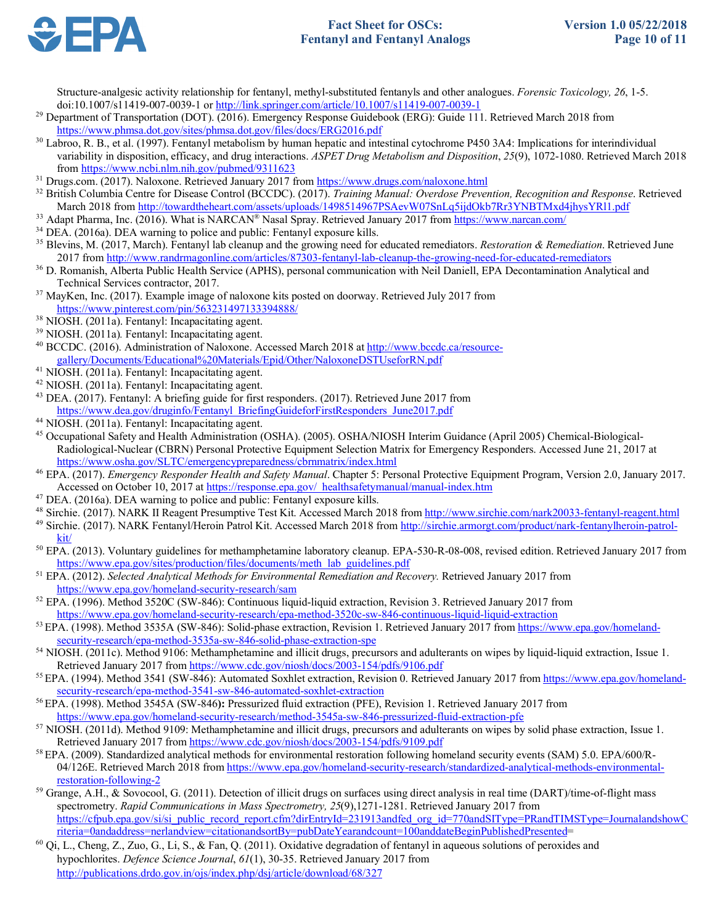

Structure-analgesic activity relationship for fentanyl, methyl-substituted fentanyls and other analogues. *Forensic Toxicology, 26*, 1-5.

- doi:10.1007/s11419-007-0039-1 or http://link.springer.com/article/10.1007/s11419-007-0039-1<br><sup>29</sup> Department of Transportation (DOT). (2016). Emergency Response Guidebook (ERG): Guide 111. Retrieved March 2018 from
- https://www.phmsa.dot.gov/sites/phmsa.dot.gov/files/docs/ERG2016.pdf<br><sup>30</sup> Labroo, R. B., et al. (1997). Fentanyl metabolism by human hepatic and intestinal cytochrome P450 3A4: Implications for interindividual variability in disposition, efficacy, and drug interactions. *ASPET Drug Metabolism and Disposition*, *25*(9), 1072-1080. Retrieved March 2018
- <sup>31</sup> Drugs.com. (2017). Naloxone. Retrieved January 2017 from https://www.drugs.com/naloxone.html
- from https://www.ncbi.nlm.nih.gov/pubmed/9311623<br><sup>31</sup> Drugs.com. (2017). Naloxone. Retrieved January 2017 from https://www.drugs.com/naloxone.html<br><sup>32</sup> British Columbia Centre for Disease Control (BCCDC). (2017). *Training*
- 
- <sup>34</sup> DEA. (2016a). DEA warning to police and public: Fentanyl exposure kills.
- <sup>35</sup> Blevins, M. (2017, March). Fentanyl lab cleanup and the growing need for educated remediators. *Restoration & Remediation*. Retrieved June 2017 from http://www.randrmagonline.com/articles/87303-fentanyl-lab-cleanup-the-growing-need-for-educated-remediators March 2018 from <u>http://towardtheheart.com/assets/uploads/1498514967PSAevW07SnLq5ijdOkb7Rr3YNBTMxd4jhysYRl1.pdf<br><sup>33</sup> Adapt Pharma, Inc. (2016). What is NARCAN® Nasal Spray. Retrieved January 2017 from <u>https://www.narcan.c</u></u>
- 2017 from http://www.randrmagonline.com/articles/87303-fentanyl-lab-cleanup-the-growing-need-for-educated-remediators<br><sup>36</sup> D. Romanish, Alberta Public Health Service (APHS), personal communication with Neil Daniell, EPA De
- Technical Services contractor, 2017. 37 MayKen, Inc. (2017). Example image of naloxone kits posted on doorway. Retrieved July 2017 from
- 
- 
- https://www.pinterest.com/pin/563231497133394888/<br><sup>38</sup> NIOSH. (2011a). Fentanyl: Incapacitating agent.<br><sup>39</sup> NIOSH. (2011a). Fentanyl: Incapacitating agent.<br><sup>40</sup> BCCDC. (2016). Administration of Naloxone. Accessed March 201
- 
- 
- gallery/Documents/Educational%20Materials/Epid/Other/NaloxoneDSTUseforRN.pdf<br><sup>41</sup> NIOSH. (2011a). Fentanyl: Incapacitating agent.<br><sup>42</sup> NIOSH. (2011a). Fentanyl: Incapacitating agent.<br><sup>43</sup> DEA. (2017). Fentanyl: A briefing https://www.dea.gov/druginfo/Fentanyl\_BriefingGuideforFirstResponders\_June2017.pdf
- 
- https://www.osha.gov/SLTC/emergencypreparedness/cbrnmatrix/index.html <sup>44</sup> NIOSH. (2011a). Fentanyl: Incapacitating agent.<br><sup>45</sup> Occupational Safety and Health Administration (OSHA). (2005). OSHA/NIOSH Interim Guidance (April 2005) Chemical-Biological-Radiological-Nuclear (CBRN) Personal Protective Equipment Selection Matrix for Emergency Responders. Accessed June 21, 2017 at
- Accessed on October 10, 2017 at https://response.epa.gov/ healthsafetymanual/manual-index.htm <sup>46</sup> EPA. (2017). *Emergency Responder Health and Safety Manual*. Chapter 5: Personal Protective Equipment Program, Version 2.0, January 2017.
- <sup>47</sup> DEA. (2016a). DEA warning to police and public: Fentanyl exposure kills.
- 
- <sup>49</sup> Sirchie. (2017). NARK Fentanyl/Heroin Patrol Kit. Accessed March 2018 from http://sirchie.armorgt.com/product/nark-fentanylheroin-patrolkit/ Accessed on October 10, 2017 at https://response.epa.gov/\_healthsafetymanual/manual-index.htm<br>
<sup>47</sup> DEA. (2016a). DEA warning to police and public: Fentanyl exposure kills.<br>
<sup>48</sup> Sirchie. (2017). NARK II Reagent Presumptiv
- $\frac{kit}{\pi}$  EPA. (2013). Voluntary guidelines for methamphetamine laboratory cleanup. EPA-530-R-08-008, revised edition. Retrieved January 2017 from https://www.epa.gov/sites/production/files/documents/meth\_lab\_guidelines.pdf https://www.epa.gov/sites/production/files/documents/meth\_lab\_guidelines.pdf<br><sup>51</sup> EPA. (2012). *Selected Analytical Methods for Environmental Remediation and Recovery*. Retrieved January 2017 from
- 
- https://www.epa.gov/homeland-security-research/sam<br><sup>52</sup> EPA. (1996). Method 3520C (SW-846): Continuous liquid-liquid extraction, Revision 3. Retrieved January 2017 from https://www.epa.gov/homeland-security-research/epa-method-3520c-sw-846-continuous-liquid-liquid-extraction
- https://www.epa.gov/homeland-security-research/epa-method-3520c-sw-846-continuous-liquid-liquid-extraction<br><sup>53</sup> EPA. (1998). Method 3535A (SW-846): Solid-phase extraction, Revision 1. Retrieved January 2017 from https://ww security-research/epa-method-3535a-sw-846-solid-phase-extraction-spe security-research/epa-method-3535a-sw-846-solid-phase-extraction-spe<br><sup>54</sup> NIOSH. (2011c). Method 9106: Methamphetamine and illicit drugs, precursors and adulterants on wipes by liquid-liquid extraction, Issue 1.
- Retrieved January 2017 from https://www.cdc.gov/niosh/docs/2003-154/pdfs/9106.pdf<br><sup>55</sup> EPA. (1994). Method 3541 (SW-846): Automated Soxhlet extraction, Revision 0. Retrieved January 2017 from https://www.epa.gov/homeland-
- security-research/epa-method-3541-sw-846-automated-soxhlet-extraction
- https://www.epa.gov/homeland-security-research/method-3545a-sw-846-pressurized-fluid-extraction-pfe <sup>56</sup> EPA. (1998). Method 3545A (SW-846): Pressurized fluid extraction (PFE), Revision 1. Retrieved January 2017 from
- <sup>57</sup> NIOSH. (2011d). Method 9109: Methamphetamine and illicit drugs, precursors and adulterants on wipes by solid phase extraction, Issue 1.<br>Retrieved January 2017 from https://www.cdc.gov/niosh/docs/2003-154/pdfs/9109.pd
- <sup>58</sup> EPA. (2009). Standardized analytical methods for environmental restoration following homeland security events (SAM) 5.0. EPA/600/R-04/126E. Retrieved March 2018 from https://www.epa.gov/homeland-security-research/standardized-analytical-methods-environmental-
- restoration-following-2<br><sup>59</sup> Grange, A.H., & Sovocool, G. (2011). Detection of illicit drugs on surfaces using direct analysis in real time (DART)/time-of-flight mass spectrometry. *Rapid Communications in Mass Spectrometry, 25*(9),1271-1281. Retrieved January 2017 from https://cfpub.epa.gov/si/si\_public\_record\_report.cfm?dirEntryId=231913andfed\_org\_id=770andSIType=PRandTIMSType=JournalandshowC<br>riteria=0andaddress=nerlandview=citationandsortBy=pubDateYearandcount=100anddateBeginPublishedP
- riteria=0andaddress=nerlandview=citationandsortBy=pubDateYearandcount=100anddateBeginPublishedPresented=<br><sup>60</sup> Qi, L., Cheng, Z., Zuo, G., Li, S., & Fan, Q. (2011). Oxidative degradation of fentanyl in aqueous solutions of hypochlorites. *Defence Science Journal*, *61*(1), 30-35. Retrieved January 2017 from http://publications.drdo.gov.in/ojs/index.php/dsj/article/download/68/327